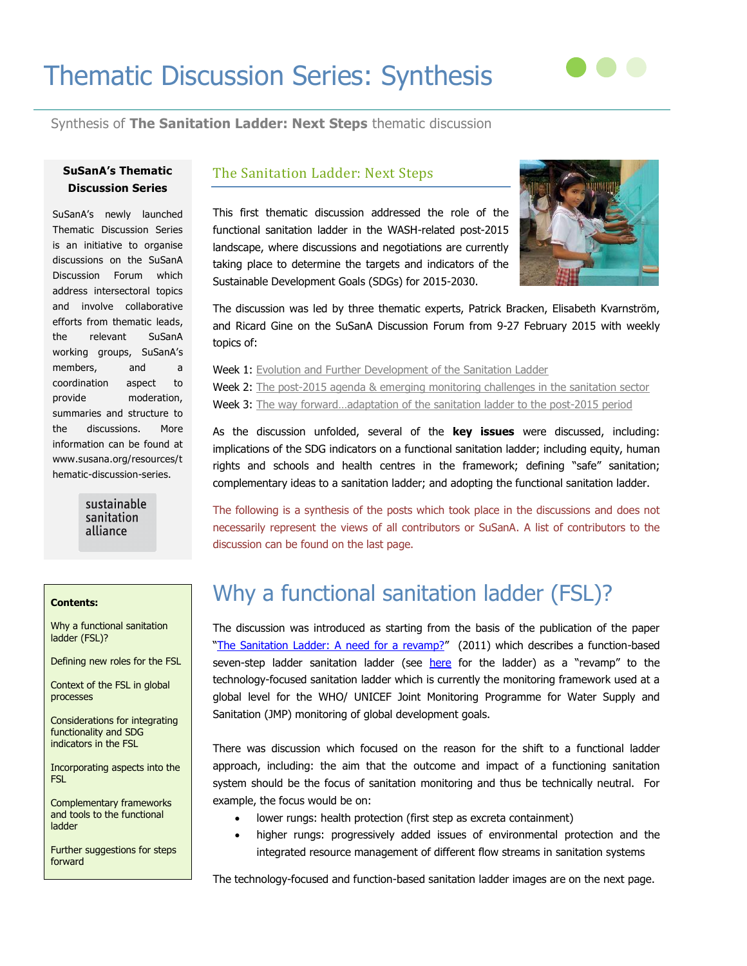# Thematic Discussion Series: Synthesis



## Synthesis of **The Sanitation Ladder: Next Steps** thematic discussion

### **SuSanA's Thematic Discussion Series**

SuSanA's newly launched Thematic Discussion Series is an initiative to organise discussions on the SuSanA Discussion Forum which address intersectoral topics and involve collaborative efforts from thematic leads, the relevant SuSanA working groups, SuSanA's members, and a coordination aspect to provide moderation, summaries and structure to the discussions. More information can be found at www.susana.org/resources/t hematic-discussion-series.

> sustainable sanitation alliance

### The Sanitation Ladder: Next Steps

This first thematic discussion addressed the role of the functional sanitation ladder in the WASH-related post-2015 landscape, where discussions and negotiations are currently taking place to determine the targets and indicators of the Sustainable Development Goals (SDGs) for 2015-2030.



The discussion was led by three thematic experts, Patrick Bracken, Elisabeth Kvarnström, and Ricard Gine on the SuSanA Discussion Forum from 9-27 February 2015 with weekly topics of:

Week 1: [Evolution and Further Development of the Sanitation Ladder](http://forum.susana.org/forum/categories/185-thematic-discussion-the-sanitation-ladder-next-steps/11966-tds-week-1-theme-evolution-and-further-development-of-the-sanitation-ladder) Week 2: The post-2015 agenda & [emerging monitoring challenges in the sanitation sector](http://forum.susana.org/forum/categories/185-thematic-discussion-the-sanitation-ladder-next-steps/12075-tds-week-2-theme-the-post-2015-agenda-and-emerging-monitoring-challenges-in-the-sanitation-sector) Week 3: The way forward...adaptation of the sanitation ladder to the post-2015 period

As the discussion unfolded, several of the **key issues** were discussed, including: implications of the SDG indicators on a functional sanitation ladder; including equity, human rights and schools and health centres in the framework; defining "safe" sanitation; complementary ideas to a sanitation ladder; and adopting the functional sanitation ladder.

The following is a synthesis of the posts which took place in the discussions and does not necessarily represent the views of all contributors or SuSanA. A list of contributors to the discussion can be found on the last page.

#### **Contents:**

Why a functional sanitation ladder (FSL)?

Defining new roles for the FSL

Context of the FSL in global processes

Considerations for integrating functionality and SDG indicators in the FSL

Incorporating aspects into the FSL

Complementary frameworks and tools to the functional ladder

Further suggestions for steps forward

# Why a functional sanitation ladder (FSL)?

The discussion was introduced as starting from the basis of the publication of the paper "[The Sanitation Ladder: A need for a revamp?](http://forum.susana.org/media/kunena/attachments/2918/TheSanitationLadder_Paper.pdf)" (2011) which describes a function-based seven-step ladder sanitation ladder (see [here](http://i.imgur.com/eRp0PJk.jpg) for the ladder) as a "revamp" to the technology-focused sanitation ladder which is currently the monitoring framework used at a global level for the WHO/ UNICEF Joint Monitoring Programme for Water Supply and Sanitation (JMP) monitoring of global development goals.

There was discussion which focused on the reason for the shift to a functional ladder approach, including: the aim that the outcome and impact of a functioning sanitation system should be the focus of sanitation monitoring and thus be technically neutral. For example, the focus would be on:

- lower rungs: health protection (first step as excreta containment)
- higher rungs: progressively added issues of environmental protection and the integrated resource management of different flow streams in sanitation systems

The technology-focused and function-based sanitation ladder images are on the next page.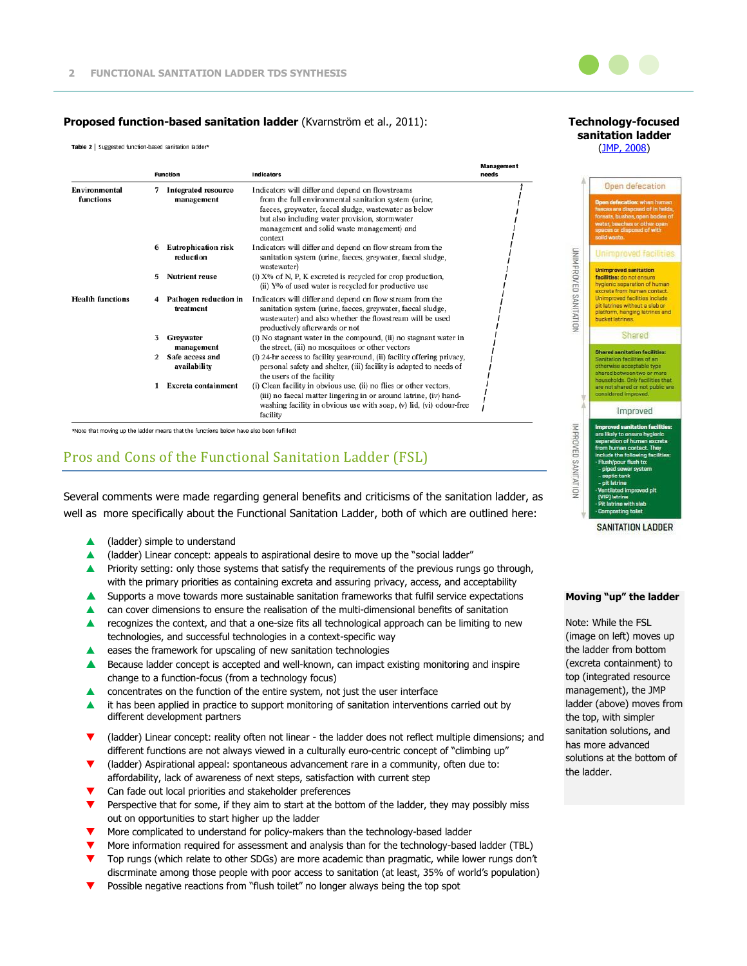

**Technology-focused sanitation ladder**

#### **Proposed function-based sanitation ladder** (Kvarnström et al., 2011):

Table 2 | Suggested function-based sanitation ladder\*

|                            |               | <b>Function</b>                          | <b>Indicators</b>                                                                                                                                                                                                                                                             | Management<br>needs |
|----------------------------|---------------|------------------------------------------|-------------------------------------------------------------------------------------------------------------------------------------------------------------------------------------------------------------------------------------------------------------------------------|---------------------|
| Environmental<br>functions | 7             | <b>Integrated resource</b><br>management | Indicators will differ and depend on flowstreams<br>from the full environmental sanitation system (urine,<br>faeces, greywater, faecal sludge, wastewater as below<br>but also including water provision, stormwater<br>management and solid waste management) and<br>context |                     |
|                            | 6             | <b>Eutrophication risk</b><br>reduction  | Indicators will differ and depend on flow stream from the<br>sanitation system (urine, faeces, greywater, faecal sludge,<br>wastewater)                                                                                                                                       |                     |
|                            | 5             | <b>Nutrient reuse</b>                    | (i) $X\%$ of N, P, K excreted is recycled for crop production,<br>(ii) Y% of used water is recycled for productive use                                                                                                                                                        |                     |
| <b>Health functions</b>    |               | Pathogen reduction in<br>treatment       | Indicators will differ and depend on flow stream from the<br>sanitation system (urine, faeces, greywater, faecal sludge,<br>wastewater) and also whether the flowstream will be used<br>productively afterwards or not                                                        |                     |
|                            | 3             | Greywater<br>management                  | (i) No stagnant water in the compound, (ii) no stagnant water in<br>the street, (iii) no mosquitoes or other vectors                                                                                                                                                          |                     |
|                            | $\mathcal{P}$ | Safe access and<br>availability          | (i) 24-hr access to facility year-round, (ii) facility offering privacy,<br>personal safety and shelter, (iii) facility is adapted to needs of<br>the users of the facility                                                                                                   |                     |
|                            | 1             | Excreta containment                      | (i) Clean facility in obvious use, (ii) no flies or other vectors,<br>(iii) no faecal matter lingering in or around latrine, (iv) hand<br>washing facility in obvious use with soap, (v) lid, (vi) odour-free<br>facility                                                     |                     |

\*Note that moving up the ladder means that the functions below have also been fulfilled!

# Pros and Cons of the Functional Sanitation Ladder (FSL)

Several comments were made regarding general benefits and criticisms of the sanitation ladder, as well as more specifically about the Functional Sanitation Ladder, both of which are outlined here:

- ▲ (ladder) simple to understand
- ▲ (ladder) Linear concept: appeals to aspirational desire to move up the "social ladder"
- **A** Priority setting: only those systems that satisfy the requirements of the previous rungs go through, with the primary priorities as containing excreta and assuring privacy, access, and acceptability
- $\blacktriangle$  Supports a move towards more sustainable sanitation frameworks that fulfil service expectations
- can cover dimensions to ensure the realisation of the multi-dimensional benefits of sanitation
- **A** recognizes the context, and that a one-size fits all technological approach can be limiting to new technologies, and successful technologies in a context-specific way
- eases the framework for upscaling of new sanitation technologies
- **A** Because ladder concept is accepted and well-known, can impact existing monitoring and inspire change to a function-focus (from a technology focus)
- concentrates on the function of the entire system, not just the user interface
- it has been applied in practice to support monitoring of sanitation interventions carried out by different development partners
- (ladder) Linear concept: reality often not linear the ladder does not reflect multiple dimensions; and different functions are not always viewed in a culturally euro-centric concept of "climbing up"
- (ladder) Aspirational appeal: spontaneous advancement rare in a community, often due to: affordability, lack of awareness of next steps, satisfaction with current step
- Can fade out local priorities and stakeholder preferences
- Perspective that for some, if they aim to start at the bottom of the ladder, they may possibly miss out on opportunities to start higher up the ladder
- More complicated to understand for policy-makers than the technology-based ladder
- More information required for assessment and analysis than for the technology-based ladder (TBL)
- Top rungs (which relate to other SDGs) are more academic than pragmatic, while lower rungs don't discrminate among those people with poor access to sanitation (at least, 35% of world's population)
- Possible negative reactions from "flush toilet" no longer always being the top spot



SANITATION LADDER

#### **Moving "up" the ladder**

Note: While the FSL (image on left) moves up the ladder from bottom (excreta containment) to top (integrated resource management), the JMP ladder (above) moves from the top, with simpler sanitation solutions, and has more advanced solutions at the bottom of the ladder.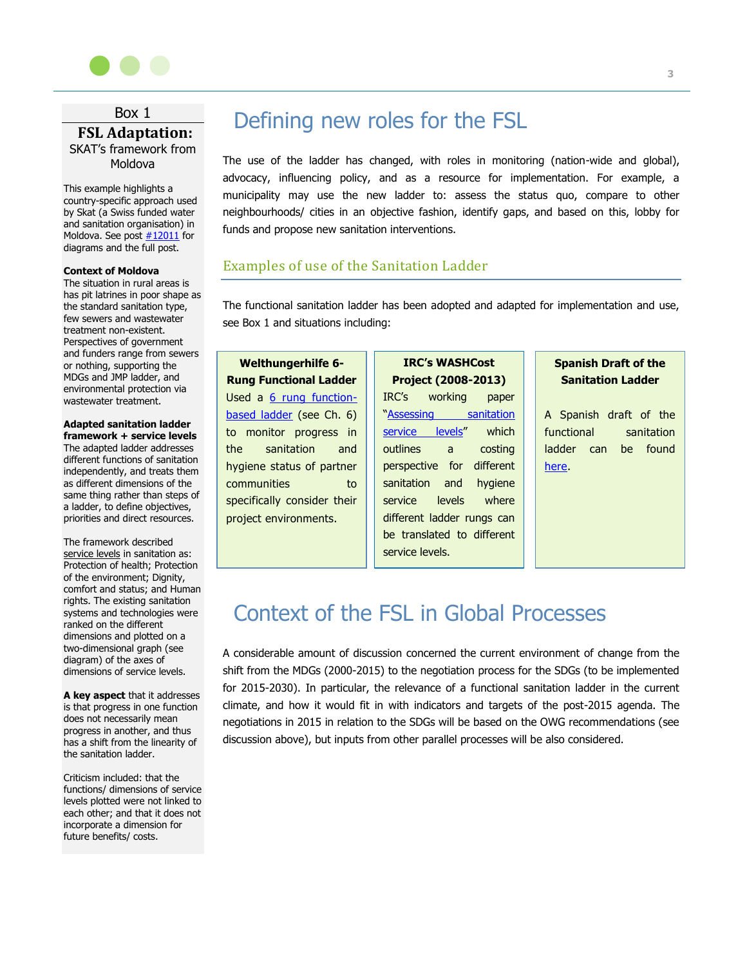

# Box 1 **FSL Adaptation:** SKAT's framework from Moldova

This example highlights a country-specific approach used by Skat (a Swiss funded water and sanitation organisation) in Moldova. See post  $\frac{\#12011}{ }$  for diagrams and the full post.

#### **Context of Moldova**

The situation in rural areas is has pit latrines in poor shape as the standard sanitation type, few sewers and wastewater treatment non-existent. Perspectives of government and funders range from sewers or nothing, supporting the MDGs and JMP ladder, and environmental protection via wastewater treatment.

## **Adapted sanitation ladder**

**framework + service levels** The adapted ladder addresses different functions of sanitation independently, and treats them as different dimensions of the same thing rather than steps of a ladder, to define objectives, priorities and direct resources.

The framework described service levels in sanitation as: Protection of health; Protection of the environment; Dignity, comfort and status; and Human rights. The existing sanitation systems and technologies were ranked on the different dimensions and plotted on a two-dimensional graph (see diagram) of the axes of dimensions of service levels.

**A key aspect** that it addresses is that progress in one function does not necessarily mean progress in another, and thus has a shift from the linearity of the sanitation ladder.

Criticism included: that the functions/ dimensions of service levels plotted were not linked to each other; and that it does not incorporate a dimension for future benefits/ costs.

# Defining new roles for the FSL

The use of the ladder has changed, with roles in monitoring (nation-wide and global), advocacy, influencing policy, and as a resource for implementation. For example, a municipality may use the new ladder to: assess the status quo, compare to other neighbourhoods/ cities in an objective fashion, identify gaps, and based on this, lobby for funds and propose new sanitation interventions.

### Examples of use of the Sanitation Ladder

The functional sanitation ladder has been adopted and adapted for implementation and use, see Box 1 and situations including:

**Welthungerhilfe 6- Rung Functional Ladder** Used a [6 rung function](http://www.welthungerhilfe.de/en/about-us/media...-framework-wash.html)[based ladder](http://www.welthungerhilfe.de/en/about-us/media...-framework-wash.html) (see Ch. 6) to monitor progress in the sanitation and hygiene status of partner communities to specifically consider their project environments.

**IRC's WASHCost Project (2008-2013)** IRC's working paper "Assessing sanitation [service levels](http://www.ircwash.org/resources/assessing-sanitation-service-levels)" which outlines a costing perspective for different sanitation and hygiene service levels where different ladder rungs can be translated to different service levels.

# **Spanish Draft of the Sanitation Ladder**

A Spanish draft of the functional sanitation ladder can be found [here.](http://forum.susana.org/forum/categories/185-thematic-discussion-the-sanitation-ladder-next-steps/12185-tds-week-3-theme-the-way-forwardadaptation-of-the-sanitation-ladder-to-the-post-2015-period#12291)

# Context of the FSL in Global Processes

A considerable amount of discussion concerned the current environment of change from the shift from the MDGs (2000-2015) to the negotiation process for the SDGs (to be implemented for 2015-2030). In particular, the relevance of a functional sanitation ladder in the current climate, and how it would fit in with indicators and targets of the post-2015 agenda. The negotiations in 2015 in relation to the SDGs will be based on the OWG recommendations (see discussion above), but inputs from other parallel processes will be also considered.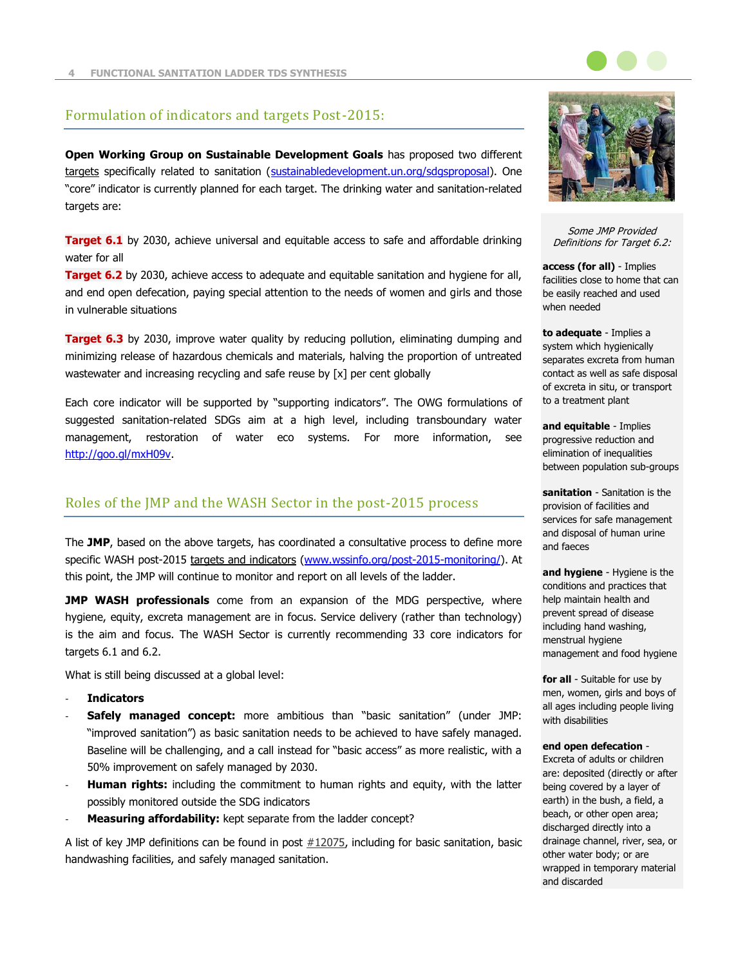

## Formulation of indicators and targets Post-2015:

**Open Working Group on Sustainable Development Goals** has proposed two different targets specifically related to sanitation [\(sustainabledevelopment.un.org/sdgsproposal\)](https://sustainabledevelopment.un.org/sdgsproposal). One "core" indicator is currently planned for each target. The drinking water and sanitation-related targets are:

**Target 6.1** by 2030, achieve universal and equitable access to safe and affordable drinking water for all

**Target 6.2** by 2030, achieve access to adequate and equitable sanitation and hygiene for all, and end open defecation, paying special attention to the needs of women and girls and those in vulnerable situations

**Target 6.3** by 2030, improve water quality by reducing pollution, eliminating dumping and minimizing release of hazardous chemicals and materials, halving the proportion of untreated wastewater and increasing recycling and safe reuse by [x] per cent globally

Each core indicator will be supported by "supporting indicators". The OWG formulations of suggested sanitation-related SDGs aim at a high level, including transboundary water management, restoration of water eco systems. For more information, see [http://goo.gl/mxH09v.](http://goo.gl/mxH09v)

# Roles of the JMP and the WASH Sector in the post-2015 process

The **JMP**, based on the above targets, has coordinated a consultative process to define more specific WASH post-2015 targets and indicators [\(www.wssinfo.org/post-2015-monitoring/\)](http://www.wssinfo.org/post-2015-monitoring/). At this point, the JMP will continue to monitor and report on all levels of the ladder.

**JMP WASH professionals** come from an expansion of the MDG perspective, where hygiene, equity, excreta management are in focus. Service delivery (rather than technology) is the aim and focus. The WASH Sector is currently recommending 33 core indicators for targets 6.1 and 6.2.

What is still being discussed at a global level:

- **Indicators**
- **Safely managed concept:** more ambitious than "basic sanitation" (under JMP: "improved sanitation") as basic sanitation needs to be achieved to have safely managed. Baseline will be challenging, and a call instead for "basic access" as more realistic, with a 50% improvement on safely managed by 2030.
- Human rights: including the commitment to human rights and equity, with the latter possibly monitored outside the SDG indicators
- Measuring affordability: kept separate from the ladder concept?

A list of key JMP definitions can be found in post  $#12075$ , including for basic sanitation, basic handwashing facilities, and safely managed sanitation.



Some JMP Provided Definitions for Target 6.2:

**access (for all)** - Implies facilities close to home that can be easily reached and used when needed

**to adequate** - Implies a system which hygienically separates excreta from human contact as well as safe disposal of excreta in situ, or transport to a treatment plant

**and equitable** - Implies progressive reduction and elimination of inequalities between population sub-groups

**sanitation** - Sanitation is the provision of facilities and services for safe management and disposal of human urine and faeces

**and hygiene** - Hygiene is the conditions and practices that help maintain health and prevent spread of disease including hand washing, menstrual hygiene management and food hygiene

**for all** - Suitable for use by men, women, girls and boys of all ages including people living with disabilities

#### **end open defecation** -

Excreta of adults or children are: deposited (directly or after being covered by a layer of earth) in the bush, a field, a beach, or other open area; discharged directly into a drainage channel, river, sea, or other water body; or are wrapped in temporary material and discarded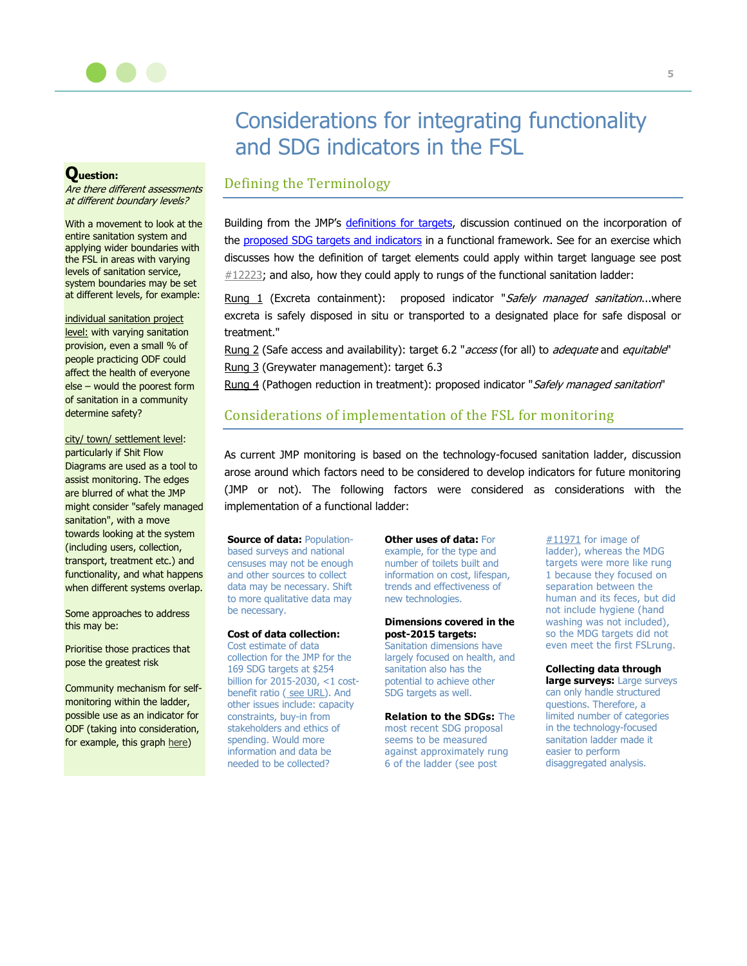

# Considerations for integrating functionality and SDG indicators in the FSL

### **Question:**

Are there different assessments at different boundary levels?

With a movement to look at the entire sanitation system and applying wider boundaries with the FSL in areas with varying levels of sanitation service, system boundaries may be set at different levels, for example:

individual sanitation project level: with varying sanitation provision, even a small % of people practicing ODF could affect the health of everyone else – would the poorest form of sanitation in a community determine safety?

city/ town/ settlement level: particularly if Shit Flow Diagrams are used as a tool to assist monitoring. The edges are blurred of what the JMP might consider "safely managed sanitation", with a move towards looking at the system (including users, collection, transport, treatment etc.) and functionality, and what happens when different systems overlap.

Some approaches to address this may be:

Prioritise those practices that pose the greatest risk

Community mechanism for selfmonitoring within the ladder, possible use as an indicator for ODF (taking into consideration, for example, this graph [here\)](http://forum.susana.org/media/kunena/attachments/5217/AdherencetoODFstatusovertime.png)

# Defining the Terminology

Building from the JMP's [definitions for targets,](http://goo.gl/mxH09v) discussion continued on the incorporation of the [proposed SDG targets and indicators](http://forum.susana.org/media/kunena/attachments/295/UN-2014-OutcomeDocument-OpenWorkingGroup.pdf) in a functional framework. See for an exercise which discusses how the definition of target elements could apply within target language see post  $#12223$ ; and also, how they could apply to rungs of the functional sanitation ladder:

Rung 1 (Excreta containment): proposed indicator "Safely managed sanitation...where excreta is safely disposed in situ or transported to a designated place for safe disposal or treatment."

Rung 2 (Safe access and availability): target 6.2 "access (for all) to adequate and equitable" Rung 3 (Greywater management): target 6.3

Rung 4 (Pathogen reduction in treatment): proposed indicator "Safely managed sanitation"

# Considerations of implementation of the FSL for monitoring

As current JMP monitoring is based on the technology-focused sanitation ladder, discussion arose around which factors need to be considered to develop indicators for future monitoring (JMP or not). The following factors were considered as considerations with the implementation of a functional ladder:

**Source of data:** Populationbased surveys and national censuses may not be enough and other sources to collect data may be necessary. Shift to more qualitative data may be necessary.

#### **Cost of data collection:**

Cost estimate of data collection for the JMP for the 169 SDG targets at \$254 billion for 2015-2030, <1 costbenefit ratio ([see URL\)](http://www.copenhagenconsensus.com/publication/post-2015-consensus-data-development-assessment-jerven). And other issues include: capacity constraints, buy-in from stakeholders and ethics of spending. Would more information and data be needed to be collected?

**Other uses of data:** For example, for the type and number of toilets built and information on cost, lifespan, trends and effectiveness of new technologies.

#### **Dimensions covered in the post-2015 targets:**

Sanitation dimensions have largely focused on health, and sanitation also has the potential to achieve other SDG targets as well.

**Relation to the SDGs:** The

most recent SDG proposal seems to be measured against approximately rung 6 of the ladder (see post

 $\#11971$  $\#11971$  for image of ladder), whereas the MDG targets were more like rung 1 because they focused on separation between the human and its feces, but did not include hygiene (hand washing was not included), so the MDG targets did not even meet the first FSLrung.

#### **Collecting data through**

**large surveys:** Large surveys can only handle structured questions. Therefore, a limited number of categories in the technology-focused sanitation ladder made it easier to perform disaggregated analysis.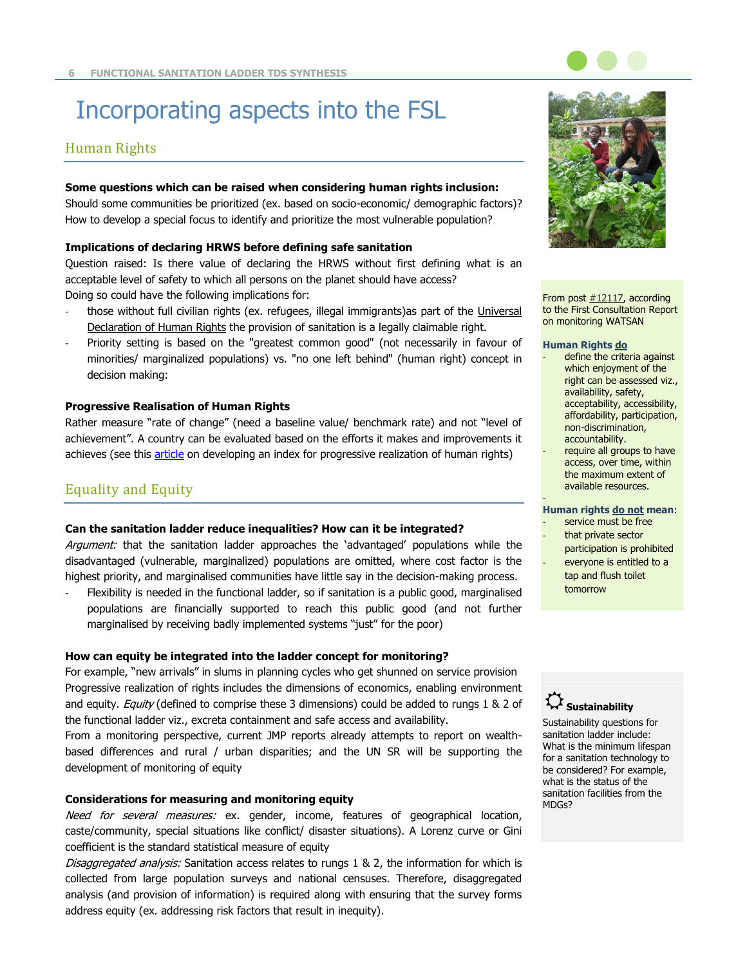# Incorporating aspects into the FSL

# Human Rights

#### **Some questions which can be raised when considering human rights inclusion:**

Should some communities be prioritized (ex. based on socio-economic/ demographic factors)? How to develop a special focus to identify and prioritize the most vulnerable population?

#### **Implications of declaring HRWS before defining safe sanitation**

Question raised: Is there value of declaring the HRWS without first defining what is an acceptable level of safety to which all persons on the planet should have access? Doing so could have the following implications for:

- those without full civilian rights (ex. refugees, illegal immigrants)as part of the Universal [Declaration of Human Rights](http://www.un.org/en/documents/udhr/) the provision of sanitation is a legally claimable right.
- Priority setting is based on the "greatest common good" (not necessarily in favour of minorities/ marginalized populations) vs. "no one left behind" (human right) concept in decision making:

#### **Progressive Realisation of Human Rights**

Rather measure "rate of change" (need a baseline value/ benchmark rate) and not "level of achievement". A country can be evaluated based on the efforts it makes and improvements it achieves (see this [article](http://www.sciencedirect.com/science/article/pii/S1438463912001435) on developing an index for progressive realization of human rights)

# Equality and Equity

#### **Can the sanitation ladder reduce inequalities? How can it be integrated?**

Argument: that the sanitation ladder approaches the 'advantaged' populations while the disadvantaged (vulnerable, marginalized) populations are omitted, where cost factor is the highest priority, and marginalised communities have little say in the decision-making process.

Flexibility is needed in the functional ladder, so if sanitation is a public good, marginalised populations are financially supported to reach this public good (and not further marginalised by receiving badly implemented systems "just" for the poor)

#### **How can equity be integrated into the ladder concept for monitoring?**

For example, "new arrivals" in slums in planning cycles who get shunned on service provision Progressive realization of rights includes the dimensions of economics, enabling environment and equity. Equity (defined to comprise these 3 dimensions) could be added to rungs 1 & 2 of the functional ladder viz., excreta containment and safe access and availability.

From a monitoring perspective, current JMP reports already attempts to report on wealthbased differences and rural / urban disparities; and the UN SR will be supporting the development of monitoring of equity

#### **Considerations for measuring and monitoring equity**

Need for several measures: ex. gender, income, features of geographical location, caste/community, special situations like conflict/ disaster situations). A Lorenz curve or Gini coefficient is the standard statistical measure of equity

Disaggregated analysis: Sanitation access relates to rungs 1 & 2, the information for which is collected from large population surveys and national censuses. Therefore, disaggregated analysis (and provision of information) is required along with ensuring that the survey forms address equity (ex. addressing risk factors that result in inequity).



From post  $\#12117$ , according to the First Consultation Report on monitoring WATSAN

#### **Human Rights do**

- define the criteria against which enjoyment of the right can be assessed viz., availability, safety, acceptability, accessibility, affordability, participation, non-discrimination, accountability.
- require all groups to have access, over time, within the maximum extent of available resources.

#### - **Human rights do not mean**:

- service must be free
- that private sector
- participation is prohibited everyone is entitled to a
- tap and flush toilet tomorrow

# **Sustainability**

Sustainability questions for sanitation ladder include: What is the minimum lifespan for a sanitation technology to be considered? For example, what is the status of the sanitation facilities from the MDGs?

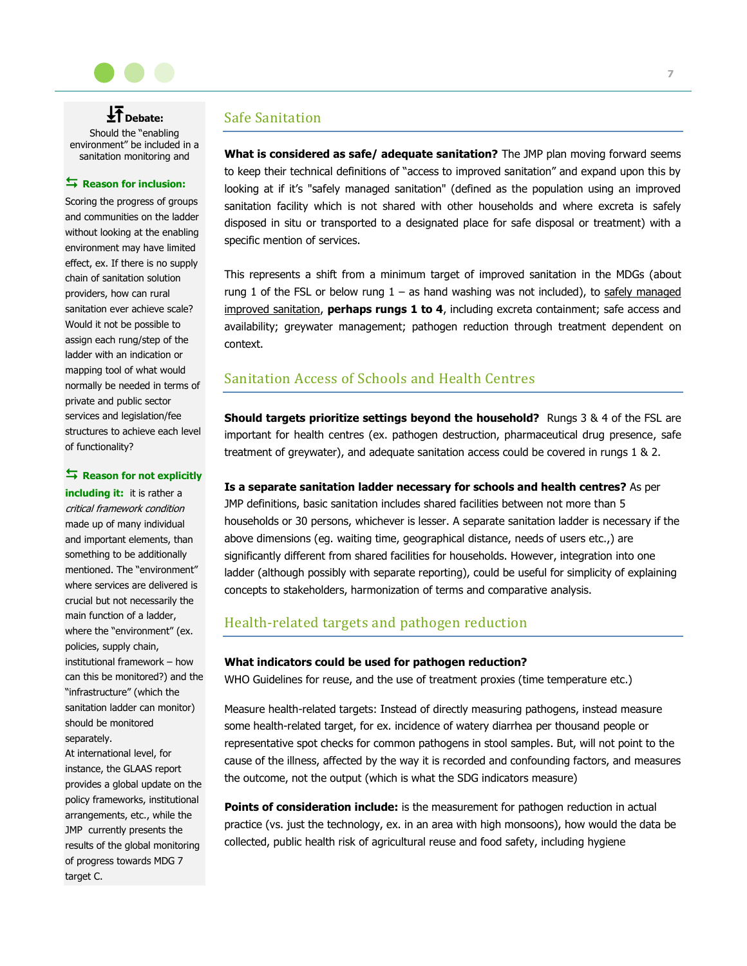

**↓**<br>◆ Debate: Should the "enabling environment" be included in a sanitation monitoring and

#### Reason for inclusion:

Scoring the progress of groups and communities on the ladder without looking at the enabling environment may have limited effect, ex. If there is no supply chain of sanitation solution providers, how can rural sanitation ever achieve scale? Would it not be possible to assign each rung/step of the ladder with an indication or mapping tool of what would normally be needed in terms of private and public sector services and legislation/fee structures to achieve each level of functionality?

#### **Reason for not explicitly**

**including it:** it is rather a critical framework condition made up of many individual and important elements, than something to be additionally mentioned. The "environment" where services are delivered is crucial but not necessarily the main function of a ladder, where the "environment" (ex. policies, supply chain, institutional framework – how can this be monitored?) and the "infrastructure" (which the sanitation ladder can monitor) should be monitored separately.

At international level, for instance, the GLAAS report provides a global update on the policy frameworks, institutional arrangements, etc., while the JMP currently presents the results of the global monitoring of progress towards MDG 7 target C.

# Safe Sanitation

**What is considered as safe/ adequate sanitation?** The JMP plan moving forward seems to keep their technical definitions of "access to improved sanitation" and expand upon this by looking at if it's "safely managed sanitation" (defined as the population using an improved sanitation facility which is not shared with other households and where excreta is safely disposed in situ or transported to a designated place for safe disposal or treatment) with a specific mention of services.

This represents a shift from a minimum target of improved sanitation in the MDGs (about rung 1 of the FSL or below rung  $1 -$  as hand washing was not included), to safely managed improved sanitation, **perhaps rungs 1 to 4**, including excreta containment; safe access and availability; greywater management; pathogen reduction through treatment dependent on context.

# Sanitation Access of Schools and Health Centres

**Should targets prioritize settings beyond the household?** Rungs 3 & 4 of the FSL are important for health centres (ex. pathogen destruction, pharmaceutical drug presence, safe treatment of greywater), and adequate sanitation access could be covered in rungs 1 & 2.

#### **Is a separate sanitation ladder necessary for schools and health centres?** As per

JMP definitions, basic sanitation includes shared facilities between not more than 5 households or 30 persons, whichever is lesser. A separate sanitation ladder is necessary if the above dimensions (eg. waiting time, geographical distance, needs of users etc.,) are significantly different from shared facilities for households. However, integration into one ladder (although possibly with separate reporting), could be useful for simplicity of explaining concepts to stakeholders, harmonization of terms and comparative analysis.

# Health-related targets and pathogen reduction

#### **What indicators could be used for pathogen reduction?**

WHO Guidelines for reuse, and the use of treatment proxies (time temperature etc.)

Measure health-related targets: Instead of directly measuring pathogens, instead measure some health-related target, for ex. incidence of watery diarrhea per thousand people or representative spot checks for common pathogens in stool samples. But, will not point to the cause of the illness, affected by the way it is recorded and confounding factors, and measures the outcome, not the output (which is what the SDG indicators measure)

**Points of consideration include:** is the measurement for pathogen reduction in actual practice (vs. just the technology, ex. in an area with high monsoons), how would the data be collected, public health risk of agricultural reuse and food safety, including hygiene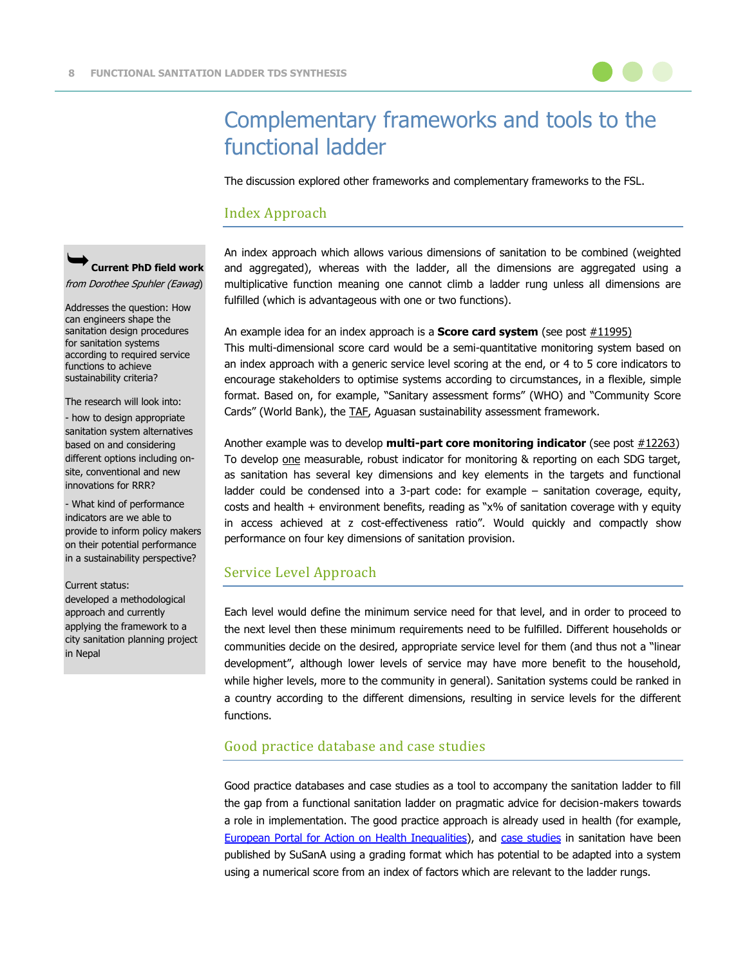

The discussion explored other frameworks and complementary frameworks to the FSL.

## Index Approach

**Current PhD field work**

from Dorothee Spuhler (Eawag)

Addresses the question: How can engineers shape the sanitation design procedures for sanitation systems according to required service functions to achieve sustainability criteria?

The research will look into:

- how to design appropriate sanitation system alternatives based on and considering different options including onsite, conventional and new innovations for RRR?

- What kind of performance indicators are we able to provide to inform policy makers on their potential performance in a sustainability perspective?

#### Current status:

developed a methodological approach and currently applying the framework to a city sanitation planning project in Nepal

An index approach which allows various dimensions of sanitation to be combined (weighted and aggregated), whereas with the ladder, all the dimensions are aggregated using a multiplicative function meaning one cannot climb a ladder rung unless all dimensions are fulfilled (which is advantageous with one or two functions).

An example idea for an index approach is a **Score card system** (see post [#11995\)](http://forum.susana.org/forum/categories/185-thematic-discussion-the-sanitation-ladder-next-steps/11966-tds-week-1-theme-evolution-and-further-development-of-the-sanitation-ladder#11995) This multi-dimensional score card would be a semi-quantitative monitoring system based on an index approach with a generic service level scoring at the end, or 4 to 5 core indicators to encourage stakeholders to optimise systems according to circumstances, in a flexible, simple format. Based on, for example, "Sanitary assessment forms" (WHO) and "Community Score Cards" (World Bank), the [TAF,](http://www.washtechnologies.net/en/taf/taf-selection-tool/details/560) Aguasan sustainability assessment framework.

Another example was to develop **multi-part core monitoring indicator** (see post [#12263\)](http://forum.susana.org/forum/categories/185-thematic-discussion-the-sanitation-ladder-next-steps/12185-tds-week-3-theme-the-way-forwardadaptation-of-the-sanitation-ladder-to-the-post-2015-period?limit=12&start=12#12263) To develop one measurable, robust indicator for monitoring & reporting on each SDG target, as sanitation has several key dimensions and key elements in the targets and functional ladder could be condensed into a 3-part code: for example – sanitation coverage, equity, costs and health  $+$  environment benefits, reading as "x% of sanitation coverage with y equity in access achieved at z cost-effectiveness ratio". Would quickly and compactly show performance on four key dimensions of sanitation provision.

# Service Level Approach

Each level would define the minimum service need for that level, and in order to proceed to the next level then these minimum requirements need to be fulfilled. Different households or communities decide on the desired, appropriate service level for them (and thus not a "linear development", although lower levels of service may have more benefit to the household, while higher levels, more to the community in general). Sanitation systems could be ranked in a country according to the different dimensions, resulting in service levels for the different functions.

### Good practice database and case studies

Good practice databases and case studies as a tool to accompany the sanitation ladder to fill the gap from a functional sanitation ladder on pragmatic advice for decision-makers towards a role in implementation. The good practice approach is already used in health (for example, [European Portal for Action on Health Inequalities\)](http://www.health-inequalities.eu/HEALTHEQUITY/...d_practice_database/), and [case studies](http://www.susana.org/en/resources/case-studies) in sanitation have been published by SuSanA using a grading format which has potential to be adapted into a system using a numerical score from an index of factors which are relevant to the ladder rungs.

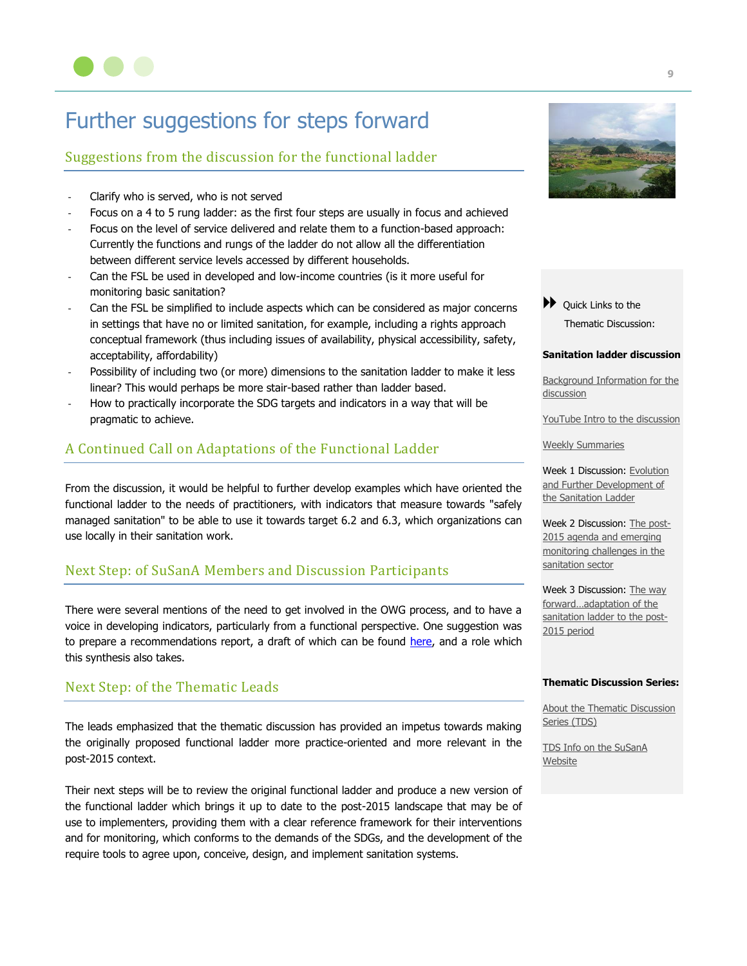

# Further suggestions for steps forward

# Suggestions from the discussion for the functional ladder

- Clarify who is served, who is not served
- Focus on a 4 to 5 rung ladder: as the first four steps are usually in focus and achieved
- Focus on the level of service delivered and relate them to a function-based approach: Currently the functions and rungs of the ladder do not allow all the differentiation between different service levels accessed by different households.
- Can the FSL be used in developed and low-income countries (is it more useful for monitoring basic sanitation?
- Can the FSL be simplified to include aspects which can be considered as major concerns in settings that have no or limited sanitation, for example, including a rights approach conceptual framework (thus including issues of availability, physical accessibility, safety, acceptability, affordability)
- Possibility of including two (or more) dimensions to the sanitation ladder to make it less linear? This would perhaps be more stair-based rather than ladder based.
- How to practically incorporate the SDG targets and indicators in a way that will be pragmatic to achieve.

# A Continued Call on Adaptations of the Functional Ladder

From the discussion, it would be helpful to further develop examples which have oriented the functional ladder to the needs of practitioners, with indicators that measure towards "safely managed sanitation" to be able to use it towards target 6.2 and 6.3, which organizations can use locally in their sanitation work.

# Next Step: of SuSanA Members and Discussion Participants

There were several mentions of the need to get involved in the OWG process, and to have a voice in developing indicators, particularly from a functional perspective. One suggestion was to prepare a recommendations report, a draft of which can be found [here,](http://forum.susana.org/media/kunena/attachments/4050/Monitoringindicatorsforsanitation_SuSanA.docx) and a role which this synthesis also takes.

# Next Step: of the Thematic Leads

The leads emphasized that the thematic discussion has provided an impetus towards making the originally proposed functional ladder more practice-oriented and more relevant in the post-2015 context.

Their next steps will be to review the original functional ladder and produce a new version of the functional ladder which brings it up to date to the post-2015 landscape that may be of use to implementers, providing them with a clear reference framework for their interventions and for monitoring, which conforms to the demands of the SDGs, and the development of the require tools to agree upon, conceive, design, and implement sanitation systems.



◆ Quick Links to the Thematic Discussion:

#### **Sanitation ladder discussion**

[Background Information for the](http://forum.susana.org/forum/categories/185-thematic-discussion-the-sanitation-ladder-next-steps/11884-tds-background-information-for-qthe-sanitation-ladder-next-stepsq-discussion)  [discussion](http://forum.susana.org/forum/categories/185-thematic-discussion-the-sanitation-ladder-next-steps/11884-tds-background-information-for-qthe-sanitation-ladder-next-stepsq-discussion)

[YouTube Intro to the discussion](http://forum.susana.org/forum/categories/185-thematic-discussion-the-sanitation-ladder-next-steps/11961-tds-youtube-intro-to-kick-off-the-first-tds-qthe-sanitation-ladder-next-stepsq)

[Weekly Summaries](http://forum.susana.org/forum/categories/185-thematic-discussion-the-sanitation-ladder-next-steps/12022-tds-sanitation-ladder-weekly-summaries)

Week 1 Discussion: Evolution [and Further Development of](http://forum.susana.org/forum/categories/185-thematic-discussion-the-sanitation-ladder-next-steps/11966-tds-week-1-theme-evolution-and-further-development-of-the-sanitation-ladder?limit=12&start=12)  [the Sanitation Ladder](http://forum.susana.org/forum/categories/185-thematic-discussion-the-sanitation-ladder-next-steps/11966-tds-week-1-theme-evolution-and-further-development-of-the-sanitation-ladder?limit=12&start=12)

Week 2 Discussion: [The post-](http://forum.susana.org/forum/categories/185-thematic-discussion-the-sanitation-ladder-next-steps/12075-tds-week-2-theme-the-post-2015-agenda-and-emerging-monitoring-challenges-in-the-sanitation-sector)[2015 agenda and emerging](http://forum.susana.org/forum/categories/185-thematic-discussion-the-sanitation-ladder-next-steps/12075-tds-week-2-theme-the-post-2015-agenda-and-emerging-monitoring-challenges-in-the-sanitation-sector)  [monitoring challenges in the](http://forum.susana.org/forum/categories/185-thematic-discussion-the-sanitation-ladder-next-steps/12075-tds-week-2-theme-the-post-2015-agenda-and-emerging-monitoring-challenges-in-the-sanitation-sector)  [sanitation sector](http://forum.susana.org/forum/categories/185-thematic-discussion-the-sanitation-ladder-next-steps/12075-tds-week-2-theme-the-post-2015-agenda-and-emerging-monitoring-challenges-in-the-sanitation-sector)

Week 3 Discussion: The way [forward…adaptation of the](http://forum.susana.org/forum/categories/185-thematic-discussion-the-sanitation-ladder-next-steps/12185-tds-week-3-theme-the-way-forwardadaptation-of-the-sanitation-ladder-to-the-post-2015-period)  [sanitation ladder to the post-](http://forum.susana.org/forum/categories/185-thematic-discussion-the-sanitation-ladder-next-steps/12185-tds-week-3-theme-the-way-forwardadaptation-of-the-sanitation-ladder-to-the-post-2015-period)[2015 period](http://forum.susana.org/forum/categories/185-thematic-discussion-the-sanitation-ladder-next-steps/12185-tds-week-3-theme-the-way-forwardadaptation-of-the-sanitation-ladder-to-the-post-2015-period)

#### **Thematic Discussion Series:**

[About the Thematic Discussion](http://forum.susana.org/forum/categories/10-general-announcements-from-or-about-susana/11417-thematic-discussion-series-coming-to-the-susana-forum)  [Series \(TDS\)](http://forum.susana.org/forum/categories/10-general-announcements-from-or-about-susana/11417-thematic-discussion-series-coming-to-the-susana-forum)

[TDS Info on the SuSanA](http://www.susana.org/en/resources/thematic-discussion-series)  **[Website](http://www.susana.org/en/resources/thematic-discussion-series)**